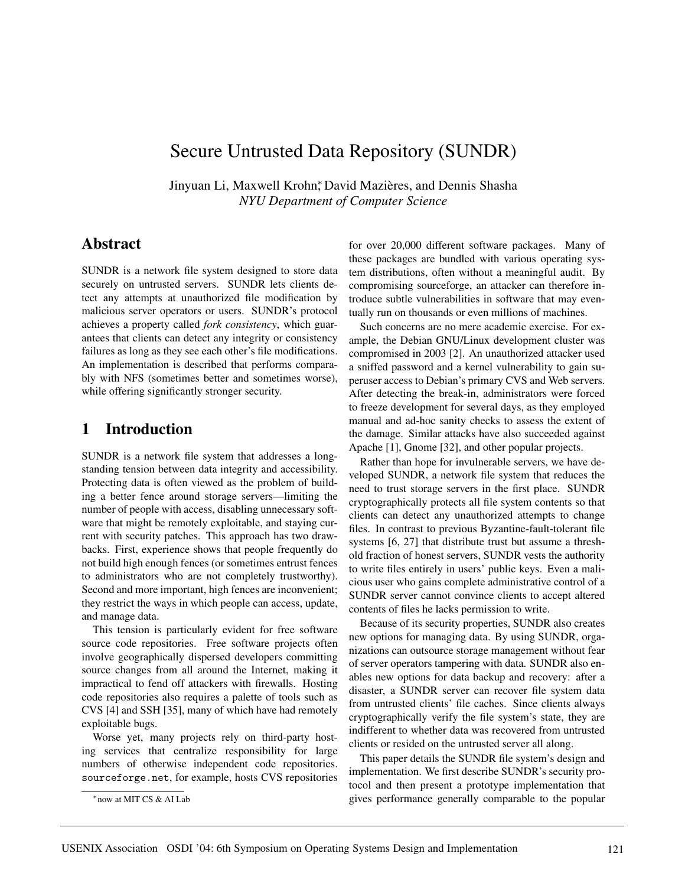# Secure Untrusted Data Repository (SUNDR)

Jinyuan Li, Maxwell Krohn, <sup>\*</sup>David Mazières, and Dennis Shasha *NYU Department of Computer Science*

## **Abstract**

SUNDR is a network file system designed to store data securely on untrusted servers. SUNDR lets clients detect any attempts at unauthorized file modification by malicious server operators or users. SUNDR's protocol achieves a property called *fork consistency*, which guarantees that clients can detect any integrity or consistency failures as long as they see each other's file modifications. An implementation is described that performs comparably with NFS (sometimes better and sometimes worse), while offering significantly stronger security.

# **1 Introduction**

SUNDR is a network file system that addresses a longstanding tension between data integrity and accessibility. Protecting data is often viewed as the problem of building a better fence around storage servers—limiting the number of people with access, disabling unnecessary software that might be remotely exploitable, and staying current with security patches. This approach has two drawbacks. First, experience shows that people frequently do not build high enough fences (or sometimes entrust fences to administrators who are not completely trustworthy). Second and more important, high fences are inconvenient; they restrict the ways in which people can access, update, and manage data.

This tension is particularly evident for free software source code repositories. Free software projects often involve geographically dispersed developers committing source changes from all around the Internet, making it impractical to fend off attackers with firewalls. Hosting code repositories also requires a palette of tools such as CVS [4] and SSH [35], many of which have had remotely exploitable bugs.

Worse yet, many projects rely on third-party hosting services that centralize responsibility for large numbers of otherwise independent code repositories. sourceforge.net, for example, hosts CVS repositories

for over 20,000 different software packages. Many of these packages are bundled with various operating system distributions, often without a meaningful audit. By compromising sourceforge, an attacker can therefore introduce subtle vulnerabilities in software that may eventually run on thousands or even millions of machines.

Such concerns are no mere academic exercise. For example, the Debian GNU/Linux development cluster was compromised in 2003 [2]. An unauthorized attacker used a sniffed password and a kernel vulnerability to gain superuser access to Debian's primary CVS and Web servers. After detecting the break-in, administrators were forced to freeze development for several days, as they employed manual and ad-hoc sanity checks to assess the extent of the damage. Similar attacks have also succeeded against Apache [1], Gnome [32], and other popular projects.

Rather than hope for invulnerable servers, we have developed SUNDR, a network file system that reduces the need to trust storage servers in the first place. SUNDR cryptographically protects all file system contents so that clients can detect any unauthorized attempts to change files. In contrast to previous Byzantine-fault-tolerant file systems [6, 27] that distribute trust but assume a threshold fraction of honest servers, SUNDR vests the authority to write files entirely in users' public keys. Even a malicious user who gains complete administrative control of a SUNDR server cannot convince clients to accept altered contents of files he lacks permission to write.

Because of its security properties, SUNDR also creates new options for managing data. By using SUNDR, organizations can outsource storage management without fear of server operators tampering with data. SUNDR also enables new options for data backup and recovery: after a disaster, a SUNDR server can recover file system data from untrusted clients' file caches. Since clients always cryptographically verify the file system's state, they are indifferent to whether data was recovered from untrusted clients or resided on the untrusted server all along.

This paper details the SUNDR file system's design and implementation. We first describe SUNDR's security protocol and then present a prototype implementation that gives performance generally comparable to the popular

<sup>∗</sup>now at MIT CS & AI Lab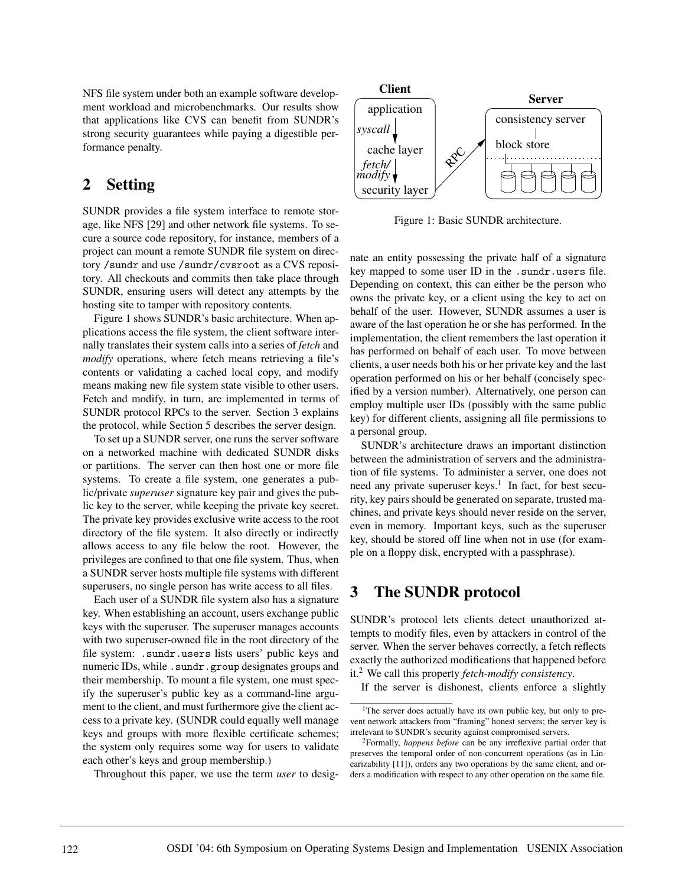NFS file system under both an example software development workload and microbenchmarks. Our results show that applications like CVS can benefit from SUNDR's strong security guarantees while paying a digestible performance penalty.

# **2 Setting**

SUNDR provides a file system interface to remote storage, like NFS [29] and other network file systems. To secure a source code repository, for instance, members of a project can mount a remote SUNDR file system on directory /sundr and use /sundr/cvsroot as a CVS repository. All checkouts and commits then take place through SUNDR, ensuring users will detect any attempts by the hosting site to tamper with repository contents.

Figure 1 shows SUNDR's basic architecture. When applications access the file system, the client software internally translates their system calls into a series of *fetch* and *modify* operations, where fetch means retrieving a file's contents or validating a cached local copy, and modify means making new file system state visible to other users. Fetch and modify, in turn, are implemented in terms of SUNDR protocol RPCs to the server. Section 3 explains the protocol, while Section 5 describes the server design.

To set up a SUNDR server, one runs the server software on a networked machine with dedicated SUNDR disks or partitions. The server can then host one or more file systems. To create a file system, one generates a public/private *superuser* signature key pair and gives the public key to the server, while keeping the private key secret. The private key provides exclusive write access to the root directory of the file system. It also directly or indirectly allows access to any file below the root. However, the privileges are confined to that one file system. Thus, when a SUNDR server hosts multiple file systems with different superusers, no single person has write access to all files.

Each user of a SUNDR file system also has a signature key. When establishing an account, users exchange public keys with the superuser. The superuser manages accounts with two superuser-owned file in the root directory of the file system: .sundr.users lists users' public keys and numeric IDs, while . sundr.group designates groups and their membership. To mount a file system, one must specify the superuser's public key as a command-line argument to the client, and must furthermore give the client access to a private key. (SUNDR could equally well manage keys and groups with more flexible certificate schemes; the system only requires some way for users to validate each other's keys and group membership.)

Throughout this paper, we use the term *user* to desig-



Figure 1: Basic SUNDR architecture.

nate an entity possessing the private half of a signature key mapped to some user ID in the .sundr.users file. Depending on context, this can either be the person who owns the private key, or a client using the key to act on behalf of the user. However, SUNDR assumes a user is aware of the last operation he or she has performed. In the implementation, the client remembers the last operation it has performed on behalf of each user. To move between clients, a user needs both his or her private key and the last operation performed on his or her behalf (concisely specified by a version number). Alternatively, one person can employ multiple user IDs (possibly with the same public key) for different clients, assigning all file permissions to a personal group.

SUNDR's architecture draws an important distinction between the administration of servers and the administration of file systems. To administer a server, one does not need any private superuser keys.<sup>1</sup> In fact, for best security, key pairs should be generated on separate, trusted machines, and private keys should never reside on the server, even in memory. Important keys, such as the superuser key, should be stored off line when not in use (for example on a floppy disk, encrypted with a passphrase).

# **3 The SUNDR protocol**

SUNDR's protocol lets clients detect unauthorized attempts to modify files, even by attackers in control of the server. When the server behaves correctly, a fetch reflects exactly the authorized modifications that happened before it.2 We call this property *fetch-modify consistency*.

If the server is dishonest, clients enforce a slightly

<sup>&</sup>lt;sup>1</sup>The server does actually have its own public key, but only to prevent network attackers from "framing" honest servers; the server key is irrelevant to SUNDR's security against compromised servers.

<sup>2</sup>Formally, *happens before* can be any irreflexive partial order that preserves the temporal order of non-concurrent operations (as in Linearizability [11]), orders any two operations by the same client, and orders a modification with respect to any other operation on the same file.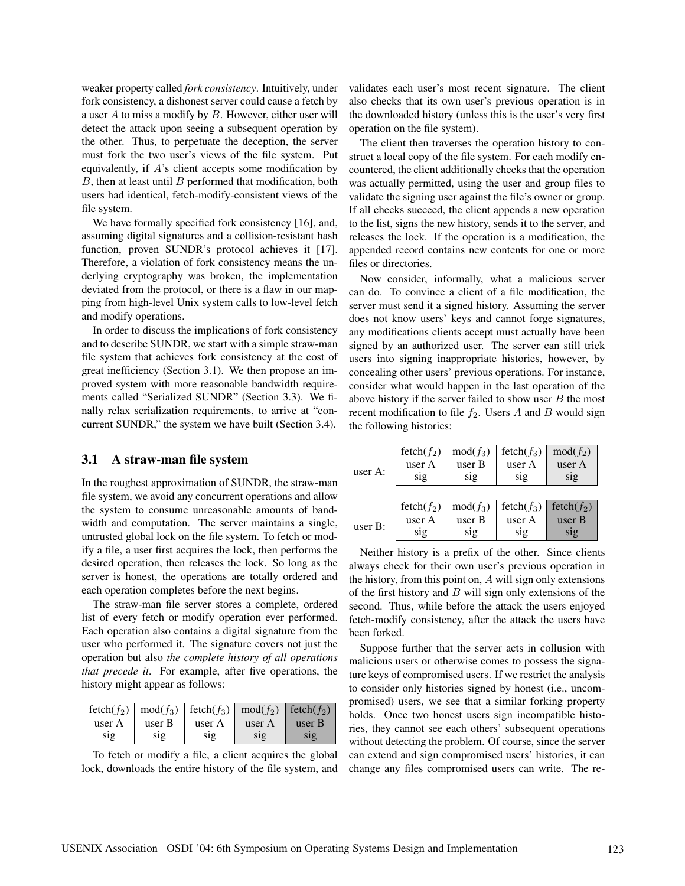weaker property called *fork consistency*. Intuitively, under fork consistency, a dishonest server could cause a fetch by a user A to miss a modify by  $B$ . However, either user will detect the attack upon seeing a subsequent operation by the other. Thus, to perpetuate the deception, the server must fork the two user's views of the file system. Put equivalently, if A's client accepts some modification by  $B$ , then at least until  $B$  performed that modification, both users had identical, fetch-modify-consistent views of the file system.

We have formally specified fork consistency [16], and, assuming digital signatures and a collision-resistant hash function, proven SUNDR's protocol achieves it [17]. Therefore, a violation of fork consistency means the underlying cryptography was broken, the implementation deviated from the protocol, or there is a flaw in our mapping from high-level Unix system calls to low-level fetch and modify operations.

In order to discuss the implications of fork consistency and to describe SUNDR, we start with a simple straw-man file system that achieves fork consistency at the cost of great inefficiency (Section 3.1). We then propose an improved system with more reasonable bandwidth requirements called "Serialized SUNDR" (Section 3.3). We finally relax serialization requirements, to arrive at "concurrent SUNDR," the system we have built (Section 3.4).

#### **3.1 A straw-man file system**

In the roughest approximation of SUNDR, the straw-man file system, we avoid any concurrent operations and allow the system to consume unreasonable amounts of bandwidth and computation. The server maintains a single, untrusted global lock on the file system. To fetch or modify a file, a user first acquires the lock, then performs the desired operation, then releases the lock. So long as the server is honest, the operations are totally ordered and each operation completes before the next begins.

The straw-man file server stores a complete, ordered list of every fetch or modify operation ever performed. Each operation also contains a digital signature from the user who performed it. The signature covers not just the operation but also *the complete history of all operations that precede it*. For example, after five operations, the history might appear as follows:

|        |        | $f \cdot \text{tech}(f_2) \mid \text{mod}(f_3) \mid \text{fetch}(f_3) \mid \text{mod}(f_2) \mid \text{fetch}(f_2)$ |        |        |
|--------|--------|--------------------------------------------------------------------------------------------------------------------|--------|--------|
| user A | user B | user A                                                                                                             | user A | user B |
| S1g    | S1g    | S1g                                                                                                                | S1Q    | S1g    |

To fetch or modify a file, a client acquires the global lock, downloads the entire history of the file system, and validates each user's most recent signature. The client also checks that its own user's previous operation is in the downloaded history (unless this is the user's very first operation on the file system).

The client then traverses the operation history to construct a local copy of the file system. For each modify encountered, the client additionally checks that the operation was actually permitted, using the user and group files to validate the signing user against the file's owner or group. If all checks succeed, the client appends a new operation to the list, signs the new history, sends it to the server, and releases the lock. If the operation is a modification, the appended record contains new contents for one or more files or directories.

Now consider, informally, what a malicious server can do. To convince a client of a file modification, the server must send it a signed history. Assuming the server does not know users' keys and cannot forge signatures, any modifications clients accept must actually have been signed by an authorized user. The server can still trick users into signing inappropriate histories, however, by concealing other users' previous operations. For instance, consider what would happen in the last operation of the above history if the server failed to show user  $B$  the most recent modification to file  $f_2$ . Users A and B would sign the following histories:

| user A: | $fetch(f_2)$<br>user A<br>sig | $mod(f_3)$<br>user B<br>sig | $fetch(f_3)$<br>user A<br>sig | $mod(f_2)$<br>user A<br>sig |
|---------|-------------------------------|-----------------------------|-------------------------------|-----------------------------|
|         | $f, (f_2)$                    | $mod(f_3)$                  | fetch $(f_3)$                 | fetch $(f_2)$               |
| user B: | user A                        | user B                      | user A                        | user B                      |
|         | sig                           | sig                         | $\overline{\text{sig}}$       | sig                         |

Neither history is a prefix of the other. Since clients always check for their own user's previous operation in the history, from this point on, A will sign only extensions of the first history and  $B$  will sign only extensions of the second. Thus, while before the attack the users enjoyed fetch-modify consistency, after the attack the users have been forked.

Suppose further that the server acts in collusion with malicious users or otherwise comes to possess the signature keys of compromised users. If we restrict the analysis to consider only histories signed by honest (i.e., uncompromised) users, we see that a similar forking property holds. Once two honest users sign incompatible histories, they cannot see each others' subsequent operations without detecting the problem. Of course, since the server can extend and sign compromised users' histories, it can change any files compromised users can write. The re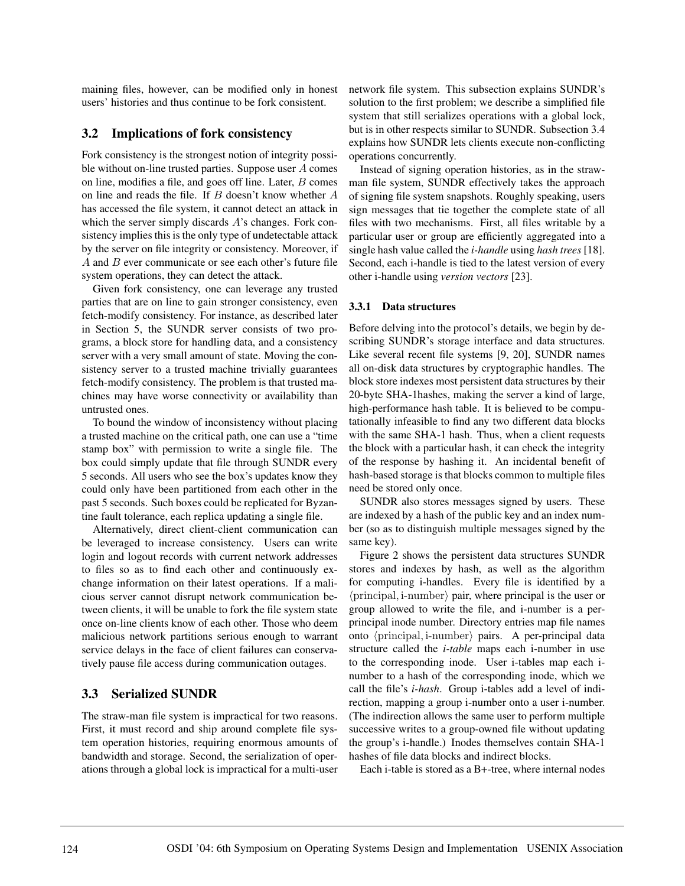maining files, however, can be modified only in honest users' histories and thus continue to be fork consistent.

#### **3.2 Implications of fork consistency**

Fork consistency is the strongest notion of integrity possible without on-line trusted parties. Suppose user A comes on line, modifies a file, and goes off line. Later, B comes on line and reads the file. If  $B$  doesn't know whether  $A$ has accessed the file system, it cannot detect an attack in which the server simply discards A's changes. Fork consistency implies this is the only type of undetectable attack by the server on file integrity or consistency. Moreover, if A and B ever communicate or see each other's future file system operations, they can detect the attack.

Given fork consistency, one can leverage any trusted parties that are on line to gain stronger consistency, even fetch-modify consistency. For instance, as described later in Section 5, the SUNDR server consists of two programs, a block store for handling data, and a consistency server with a very small amount of state. Moving the consistency server to a trusted machine trivially guarantees fetch-modify consistency. The problem is that trusted machines may have worse connectivity or availability than untrusted ones.

To bound the window of inconsistency without placing a trusted machine on the critical path, one can use a "time stamp box" with permission to write a single file. The box could simply update that file through SUNDR every 5 seconds. All users who see the box's updates know they could only have been partitioned from each other in the past 5 seconds. Such boxes could be replicated for Byzantine fault tolerance, each replica updating a single file.

Alternatively, direct client-client communication can be leveraged to increase consistency. Users can write login and logout records with current network addresses to files so as to find each other and continuously exchange information on their latest operations. If a malicious server cannot disrupt network communication between clients, it will be unable to fork the file system state once on-line clients know of each other. Those who deem malicious network partitions serious enough to warrant service delays in the face of client failures can conservatively pause file access during communication outages.

### **3.3 Serialized SUNDR**

The straw-man file system is impractical for two reasons. First, it must record and ship around complete file system operation histories, requiring enormous amounts of bandwidth and storage. Second, the serialization of operations through a global lock is impractical for a multi-user network file system. This subsection explains SUNDR's solution to the first problem; we describe a simplified file system that still serializes operations with a global lock, but is in other respects similar to SUNDR. Subsection 3.4 explains how SUNDR lets clients execute non-conflicting operations concurrently.

Instead of signing operation histories, as in the strawman file system, SUNDR effectively takes the approach of signing file system snapshots. Roughly speaking, users sign messages that tie together the complete state of all files with two mechanisms. First, all files writable by a particular user or group are efficiently aggregated into a single hash value called the *i-handle* using *hash trees* [18]. Second, each i-handle is tied to the latest version of every other i-handle using *version vectors* [23].

#### **3.3.1 Data structures**

Before delving into the protocol's details, we begin by describing SUNDR's storage interface and data structures. Like several recent file systems [9, 20], SUNDR names all on-disk data structures by cryptographic handles. The block store indexes most persistent data structures by their 20-byte SHA-1hashes, making the server a kind of large, high-performance hash table. It is believed to be computationally infeasible to find any two different data blocks with the same SHA-1 hash. Thus, when a client requests the block with a particular hash, it can check the integrity of the response by hashing it. An incidental benefit of hash-based storage is that blocks common to multiple files need be stored only once.

SUNDR also stores messages signed by users. These are indexed by a hash of the public key and an index number (so as to distinguish multiple messages signed by the same key).

Figure 2 shows the persistent data structures SUNDR stores and indexes by hash, as well as the algorithm for computing i-handles. Every file is identified by a  $\langle$  principal, i-number $\rangle$  pair, where principal is the user or group allowed to write the file, and i-number is a perprincipal inode number. Directory entries map file names onto  $\langle$ principal, i-number $\rangle$  pairs. A per-principal data structure called the *i-table* maps each i-number in use to the corresponding inode. User i-tables map each inumber to a hash of the corresponding inode, which we call the file's *i-hash*. Group i-tables add a level of indirection, mapping a group i-number onto a user i-number. (The indirection allows the same user to perform multiple successive writes to a group-owned file without updating the group's i-handle.) Inodes themselves contain SHA-1 hashes of file data blocks and indirect blocks.

Each i-table is stored as a B+-tree, where internal nodes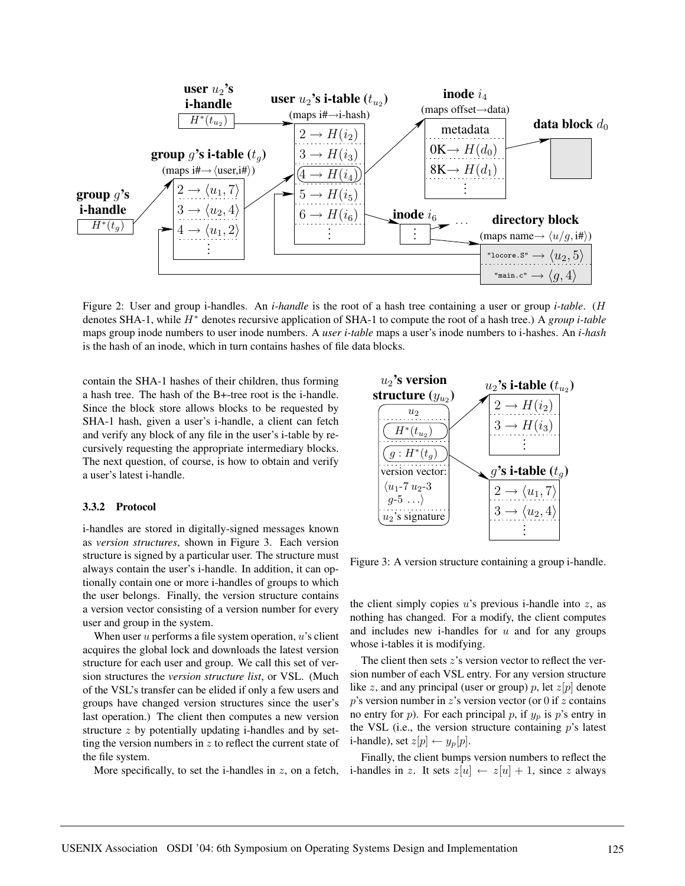

Figure 2: User and group i-handles. An *i-handle* is the root of a hash tree containing a user or group *i-table*. (H denotes SHA-1, while H<sup>∗</sup> denotes recursive application of SHA-1 to compute the root of a hash tree.) A *group i-table* maps group inode numbers to user inode numbers. A *user i-table* maps a user's inode numbers to i-hashes. An *i-hash* is the hash of an inode, which in turn contains hashes of file data blocks.

contain the SHA-1 hashes of their children, thus forming a hash tree. The hash of the B+-tree root is the i-handle. Since the block store allows blocks to be requested by SHA-1 hash, given a user's i-handle, a client can fetch and verify any block of any file in the user's i-table by recursively requesting the appropriate intermediary blocks. The next question, of course, is how to obtain and verify a user's latest i-handle.

#### **3.3.2 Protocol**

i-handles are stored in digitally-signed messages known as *version structures*, shown in Figure 3. Each version structure is signed by a particular user. The structure must always contain the user's i-handle. In addition, it can optionally contain one or more i-handles of groups to which the user belongs. Finally, the version structure contains a version vector consisting of a version number for every user and group in the system.

When user  $u$  performs a file system operation,  $u$ 's client acquires the global lock and downloads the latest version structure for each user and group. We call this set of version structures the *version structure list*, or VSL. (Much of the VSL's transfer can be elided if only a few users and groups have changed version structures since the user's last operation.) The client then computes a new version structure  $z$  by potentially updating i-handles and by setting the version numbers in  $z$  to reflect the current state of the file system.



Figure 3: A version structure containing a group i-handle.

the client simply copies  $u$ 's previous i-handle into  $z$ , as nothing has changed. For a modify, the client computes and includes new i-handles for  $u$  and for any groups whose i-tables it is modifying.

The client then sets  $z$ 's version vector to reflect the version number of each VSL entry. For any version structure like z, and any principal (user or group) p, let  $z[p]$  denote  $p$ 's version number in  $z$ 's version vector (or 0 if  $z$  contains no entry for p). For each principal p, if  $y_p$  is p's entry in the VSL (i.e., the version structure containing  $p$ 's latest i-handle), set  $z[p] \leftarrow y_p[p]$ .

More specifically, to set the i-handles in z, on a fetch, i-handles in z. It sets  $z[u] \leftarrow z[u] + 1$ , since z always Finally, the client bumps version numbers to reflect the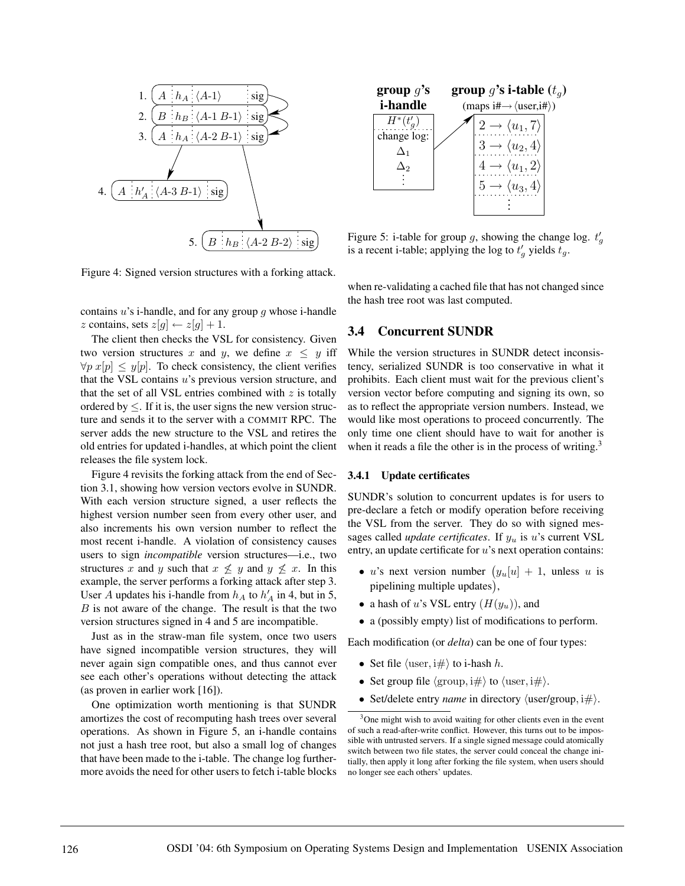

Figure 4: Signed version structures with a forking attack.

contains  $u$ 's i-handle, and for any group  $q$  whose i-handle z contains, sets  $z[g] \leftarrow z[g] + 1$ .

The client then checks the VSL for consistency. Given two version structures x and y, we define  $x \leq y$  iff  $\forall p \ x[p] \leq y[p]$ . To check consistency, the client verifies that the VSL contains  $u$ 's previous version structure, and that the set of all VSL entries combined with  $z$  is totally ordered by  $\leq$ . If it is, the user signs the new version structure and sends it to the server with a COMMIT RPC. The server adds the new structure to the VSL and retires the old entries for updated i-handles, at which point the client releases the file system lock.

Figure 4 revisits the forking attack from the end of Section 3.1, showing how version vectors evolve in SUNDR. With each version structure signed, a user reflects the highest version number seen from every other user, and also increments his own version number to reflect the most recent i-handle. A violation of consistency causes users to sign *incompatible* version structures—i.e., two structures x and y such that  $x \not\leq y$  and  $y \not\leq x$ . In this example, the server performs a forking attack after step 3. User A updates his i-handle from  $h_A$  to  $h'_A$  in 4, but in 5,  $B$  is not aware of the change. The result is that the two version structures signed in 4 and 5 are incompatible.

Just as in the straw-man file system, once two users have signed incompatible version structures, they will never again sign compatible ones, and thus cannot ever see each other's operations without detecting the attack (as proven in earlier work [16]).

One optimization worth mentioning is that SUNDR amortizes the cost of recomputing hash trees over several operations. As shown in Figure 5, an i-handle contains not just a hash tree root, but also a small log of changes that have been made to the i-table. The change log furthermore avoids the need for other users to fetch i-table blocks



Figure 5: i-table for group g, showing the change log.  $t'_g$ is a recent i-table; applying the log to  $t'_g$  yields  $t_g$ .

when re-validating a cached file that has not changed since the hash tree root was last computed.

### **3.4 Concurrent SUNDR**

While the version structures in SUNDR detect inconsistency, serialized SUNDR is too conservative in what it prohibits. Each client must wait for the previous client's version vector before computing and signing its own, so as to reflect the appropriate version numbers. Instead, we would like most operations to proceed concurrently. The only time one client should have to wait for another is when it reads a file the other is in the process of writing.<sup>3</sup>

#### **3.4.1 Update certificates**

SUNDR's solution to concurrent updates is for users to pre-declare a fetch or modify operation before receiving the VSL from the server. They do so with signed messages called *update certificates*. If  $y_u$  is u's current VSL entry, an update certificate for u's next operation contains:

- u's next version number  $(y_u[u] + 1$ , unless u is pipelining multiple updates),
- a hash of u's VSL entry  $(H(y_u))$ , and
- a (possibly empty) list of modifications to perform.

Each modification (or *delta*) can be one of four types:

- Set file  $\langle$  user, i# $\rangle$  to i-hash h.
- Set group file  $\langle \text{group}, i\# \rangle$  to  $\langle \text{user}, i\# \rangle$ .
- Set/delete entry *name* in directory  $\langle$ user/group, i $\#$ ).

<sup>&</sup>lt;sup>3</sup>One might wish to avoid waiting for other clients even in the event of such a read-after-write conflict. However, this turns out to be impossible with untrusted servers. If a single signed message could atomically switch between two file states, the server could conceal the change initially, then apply it long after forking the file system, when users should no longer see each others' updates.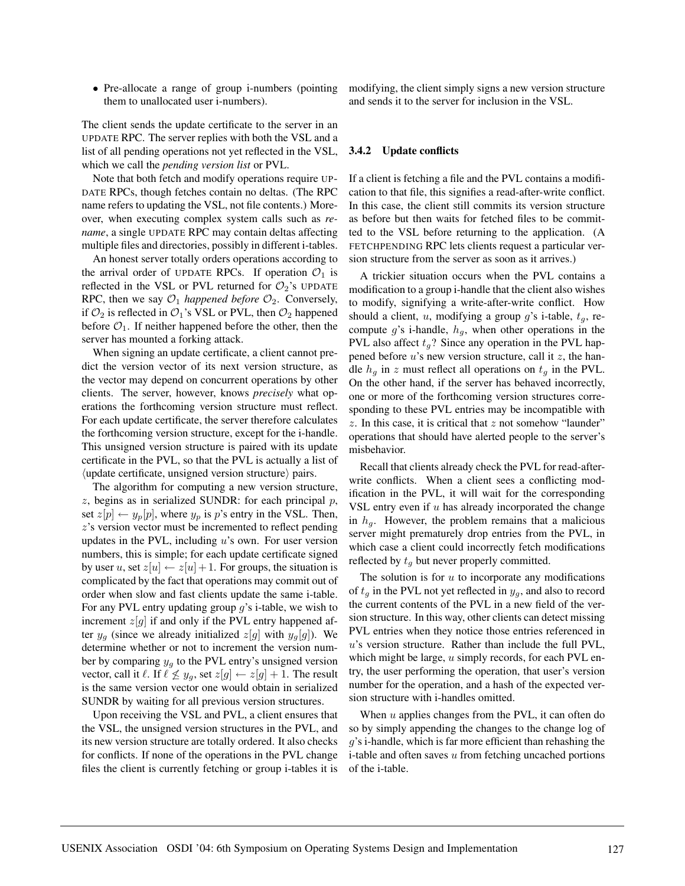• Pre-allocate a range of group *i*-numbers (pointing them to unallocated user i-numbers).

The client sends the update certificate to the server in an UPDATE RPC. The server replies with both the VSL and a list of all pending operations not yet reflected in the VSL, which we call the *pending version list* or PVL.

Note that both fetch and modify operations require UP-DATE RPCs, though fetches contain no deltas. (The RPC name refers to updating the VSL, not file contents.) Moreover, when executing complex system calls such as *rename*, a single UPDATE RPC may contain deltas affecting multiple files and directories, possibly in different i-tables.

An honest server totally orders operations according to the arrival order of UPDATE RPCs. If operation  $\mathcal{O}_1$  is reflected in the VSL or PVL returned for  $\mathcal{O}_2$ 's UPDATE RPC, then we say  $\mathcal{O}_1$  *happened before*  $\mathcal{O}_2$ . Conversely, if  $\mathcal{O}_2$  is reflected in  $\mathcal{O}_1$ 's VSL or PVL, then  $\mathcal{O}_2$  happened before  $\mathcal{O}_1$ . If neither happened before the other, then the server has mounted a forking attack.

When signing an update certificate, a client cannot predict the version vector of its next version structure, as the vector may depend on concurrent operations by other clients. The server, however, knows *precisely* what operations the forthcoming version structure must reflect. For each update certificate, the server therefore calculates the forthcoming version structure, except for the i-handle. This unsigned version structure is paired with its update certificate in the PVL, so that the PVL is actually a list of  $\langle$ update certificate, unsigned version structure $\rangle$  pairs.

The algorithm for computing a new version structure,  $z$ , begins as in serialized SUNDR: for each principal  $p$ , set  $z[p] \leftarrow y_p[p]$ , where  $y_p$  is p's entry in the VSL. Then, z's version vector must be incremented to reflect pending updates in the PVL, including  $u$ 's own. For user version numbers, this is simple; for each update certificate signed by user u, set  $z[u] \leftarrow z[u] + 1$ . For groups, the situation is complicated by the fact that operations may commit out of order when slow and fast clients update the same i-table. For any PVL entry updating group  $q$ 's i-table, we wish to increment  $z[g]$  if and only if the PVL entry happened after  $y_a$  (since we already initialized  $z[q]$  with  $y_a[q]$ ). We determine whether or not to increment the version number by comparing  $y_g$  to the PVL entry's unsigned version vector, call it  $\ell$ . If  $\ell \not\leq y_g$ , set  $z[g] \leftarrow z[g] + 1$ . The result is the same version vector one would obtain in serialized SUNDR by waiting for all previous version structures.

Upon receiving the VSL and PVL, a client ensures that the VSL, the unsigned version structures in the PVL, and its new version structure are totally ordered. It also checks for conflicts. If none of the operations in the PVL change files the client is currently fetching or group i-tables it is modifying, the client simply signs a new version structure and sends it to the server for inclusion in the VSL.

#### **3.4.2 Update conflicts**

If a client is fetching a file and the PVL contains a modification to that file, this signifies a read-after-write conflict. In this case, the client still commits its version structure as before but then waits for fetched files to be committed to the VSL before returning to the application. (A FETCHPENDING RPC lets clients request a particular version structure from the server as soon as it arrives.)

A trickier situation occurs when the PVL contains a modification to a group i-handle that the client also wishes to modify, signifying a write-after-write conflict. How should a client, u, modifying a group  $g$ 's i-table,  $t<sub>q</sub>$ , recompute g's i-handle,  $h<sub>g</sub>$ , when other operations in the PVL also affect  $t_q$ ? Since any operation in the PVL happened before  $u$ 's new version structure, call it  $z$ , the handle  $h_q$  in z must reflect all operations on  $t_q$  in the PVL. On the other hand, if the server has behaved incorrectly, one or more of the forthcoming version structures corresponding to these PVL entries may be incompatible with  $z$ . In this case, it is critical that  $z$  not somehow "launder" operations that should have alerted people to the server's misbehavior.

Recall that clients already check the PVL for read-afterwrite conflicts. When a client sees a conflicting modification in the PVL, it will wait for the corresponding VSL entry even if  $u$  has already incorporated the change in  $h_q$ . However, the problem remains that a malicious server might prematurely drop entries from the PVL, in which case a client could incorrectly fetch modifications reflected by  $t_q$  but never properly committed.

The solution is for  $u$  to incorporate any modifications of  $t_q$  in the PVL not yet reflected in  $y_q$ , and also to record the current contents of the PVL in a new field of the version structure. In this way, other clients can detect missing PVL entries when they notice those entries referenced in  $u$ 's version structure. Rather than include the full PVL, which might be large,  $u$  simply records, for each PVL entry, the user performing the operation, that user's version number for the operation, and a hash of the expected version structure with i-handles omitted.

When  $u$  applies changes from the PVL, it can often do so by simply appending the changes to the change log of  $q$ 's i-handle, which is far more efficient than rehashing the i-table and often saves  $u$  from fetching uncached portions of the i-table.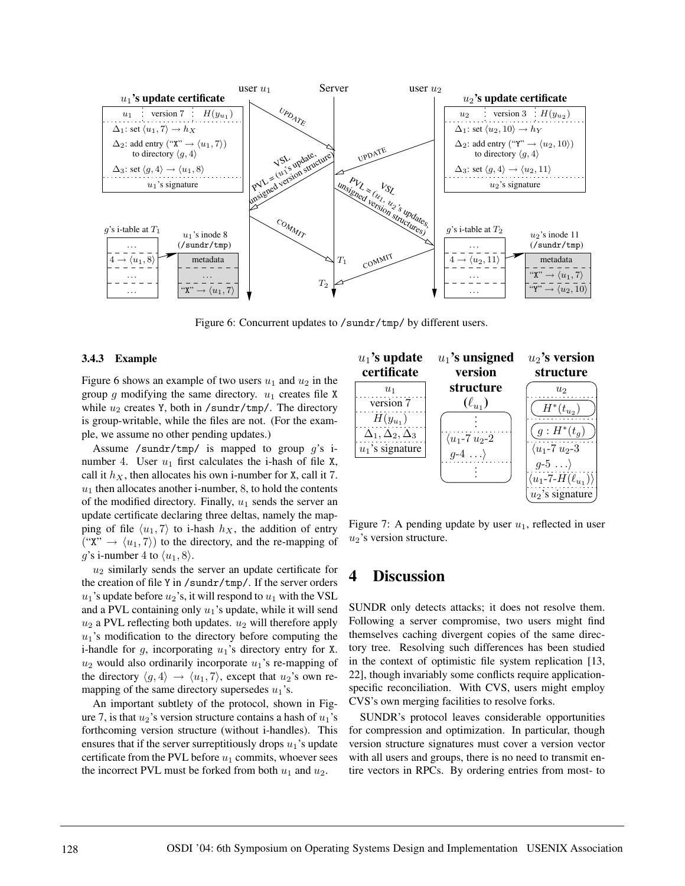

Figure 6: Concurrent updates to /sundr/tmp/ by different users.

#### **3.4.3 Example**

Figure 6 shows an example of two users  $u_1$  and  $u_2$  in the group  $g$  modifying the same directory.  $u_1$  creates file X while  $u_2$  creates Y, both in /sundr/tmp/. The directory is group-writable, while the files are not. (For the example, we assume no other pending updates.)

Assume /sundr/tmp/ is mapped to group  $g$ 's inumber 4. User  $u_1$  first calculates the i-hash of file X, call it  $h_X$ , then allocates his own i-number for X, call it 7.  $u_1$  then allocates another i-number, 8, to hold the contents of the modified directory. Finally,  $u_1$  sends the server an update certificate declaring three deltas, namely the mapping of file  $\langle u_1, 7 \rangle$  to i-hash  $h_X$ , the addition of entry ("X"  $\rightarrow$   $\langle u_1, 7 \rangle$ ) to the directory, and the re-mapping of g's i-number 4 to  $\langle u_1, 8 \rangle$ .

 $u_2$  similarly sends the server an update certificate for the creation of file Y in /sundr/tmp/. If the server orders  $u_1$ 's update before  $u_2$ 's, it will respond to  $u_1$  with the VSL and a PVL containing only  $u_1$ 's update, while it will send  $u_2$  a PVL reflecting both updates.  $u_2$  will therefore apply  $u_1$ 's modification to the directory before computing the i-handle for g, incorporating  $u_1$ 's directory entry for X.  $u_2$  would also ordinarily incorporate  $u_1$ 's re-mapping of the directory  $\langle g, 4 \rangle \rightarrow \langle u_1, 7 \rangle$ , except that  $u_2$ 's own remapping of the same directory supersedes  $u_1$ 's.

An important subtlety of the protocol, shown in Figure 7, is that  $u_2$ 's version structure contains a hash of  $u_1$ 's forthcoming version structure (without i-handles). This ensures that if the server surreptitiously drops  $u_1$ 's update certificate from the PVL before  $u_1$  commits, whoever sees the incorrect PVL must be forked from both  $u_1$  and  $u_2$ .



Figure 7: A pending update by user  $u_1$ , reflected in user  $u_2$ 's version structure.

# **4 Discussion**

SUNDR only detects attacks; it does not resolve them. Following a server compromise, two users might find themselves caching divergent copies of the same directory tree. Resolving such differences has been studied in the context of optimistic file system replication [13, 22], though invariably some conflicts require applicationspecific reconciliation. With CVS, users might employ CVS's own merging facilities to resolve forks.

SUNDR's protocol leaves considerable opportunities for compression and optimization. In particular, though version structure signatures must cover a version vector with all users and groups, there is no need to transmit entire vectors in RPCs. By ordering entries from most- to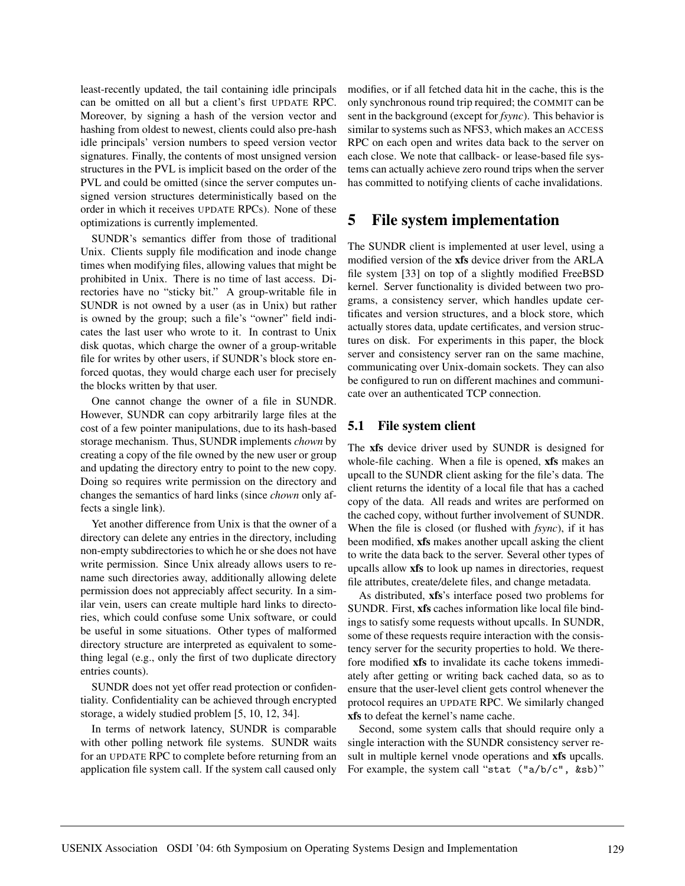least-recently updated, the tail containing idle principals can be omitted on all but a client's first UPDATE RPC. Moreover, by signing a hash of the version vector and hashing from oldest to newest, clients could also pre-hash idle principals' version numbers to speed version vector signatures. Finally, the contents of most unsigned version structures in the PVL is implicit based on the order of the PVL and could be omitted (since the server computes unsigned version structures deterministically based on the order in which it receives UPDATE RPCs). None of these optimizations is currently implemented.

SUNDR's semantics differ from those of traditional Unix. Clients supply file modification and inode change times when modifying files, allowing values that might be prohibited in Unix. There is no time of last access. Directories have no "sticky bit." A group-writable file in SUNDR is not owned by a user (as in Unix) but rather is owned by the group; such a file's "owner" field indicates the last user who wrote to it. In contrast to Unix disk quotas, which charge the owner of a group-writable file for writes by other users, if SUNDR's block store enforced quotas, they would charge each user for precisely the blocks written by that user.

One cannot change the owner of a file in SUNDR. However, SUNDR can copy arbitrarily large files at the cost of a few pointer manipulations, due to its hash-based storage mechanism. Thus, SUNDR implements *chown* by creating a copy of the file owned by the new user or group and updating the directory entry to point to the new copy. Doing so requires write permission on the directory and changes the semantics of hard links (since *chown* only affects a single link).

Yet another difference from Unix is that the owner of a directory can delete any entries in the directory, including non-empty subdirectories to which he or she does not have write permission. Since Unix already allows users to rename such directories away, additionally allowing delete permission does not appreciably affect security. In a similar vein, users can create multiple hard links to directories, which could confuse some Unix software, or could be useful in some situations. Other types of malformed directory structure are interpreted as equivalent to something legal (e.g., only the first of two duplicate directory entries counts).

SUNDR does not yet offer read protection or confidentiality. Confidentiality can be achieved through encrypted storage, a widely studied problem [5, 10, 12, 34].

In terms of network latency, SUNDR is comparable with other polling network file systems. SUNDR waits for an UPDATE RPC to complete before returning from an application file system call. If the system call caused only modifies, or if all fetched data hit in the cache, this is the only synchronous round trip required; the COMMIT can be sent in the background (except for *fsync*). This behavior is similar to systems such as NFS3, which makes an ACCESS RPC on each open and writes data back to the server on each close. We note that callback- or lease-based file systems can actually achieve zero round trips when the server has committed to notifying clients of cache invalidations.

# **5 File system implementation**

The SUNDR client is implemented at user level, using a modified version of the **xfs** device driver from the ARLA file system [33] on top of a slightly modified FreeBSD kernel. Server functionality is divided between two programs, a consistency server, which handles update certificates and version structures, and a block store, which actually stores data, update certificates, and version structures on disk. For experiments in this paper, the block server and consistency server ran on the same machine, communicating over Unix-domain sockets. They can also be configured to run on different machines and communicate over an authenticated TCP connection.

### **5.1 File system client**

The **xfs** device driver used by SUNDR is designed for whole-file caching. When a file is opened, **xfs** makes an upcall to the SUNDR client asking for the file's data. The client returns the identity of a local file that has a cached copy of the data. All reads and writes are performed on the cached copy, without further involvement of SUNDR. When the file is closed (or flushed with *fsync*), if it has been modified, **xfs** makes another upcall asking the client to write the data back to the server. Several other types of upcalls allow **xfs** to look up names in directories, request file attributes, create/delete files, and change metadata.

As distributed, **xfs**'s interface posed two problems for SUNDR. First, **xfs** caches information like local file bindings to satisfy some requests without upcalls. In SUNDR, some of these requests require interaction with the consistency server for the security properties to hold. We therefore modified **xfs** to invalidate its cache tokens immediately after getting or writing back cached data, so as to ensure that the user-level client gets control whenever the protocol requires an UPDATE RPC. We similarly changed **xfs** to defeat the kernel's name cache.

Second, some system calls that should require only a single interaction with the SUNDR consistency server result in multiple kernel vnode operations and **xfs** upcalls. For example, the system call "stat ("a/b/c", &sb)"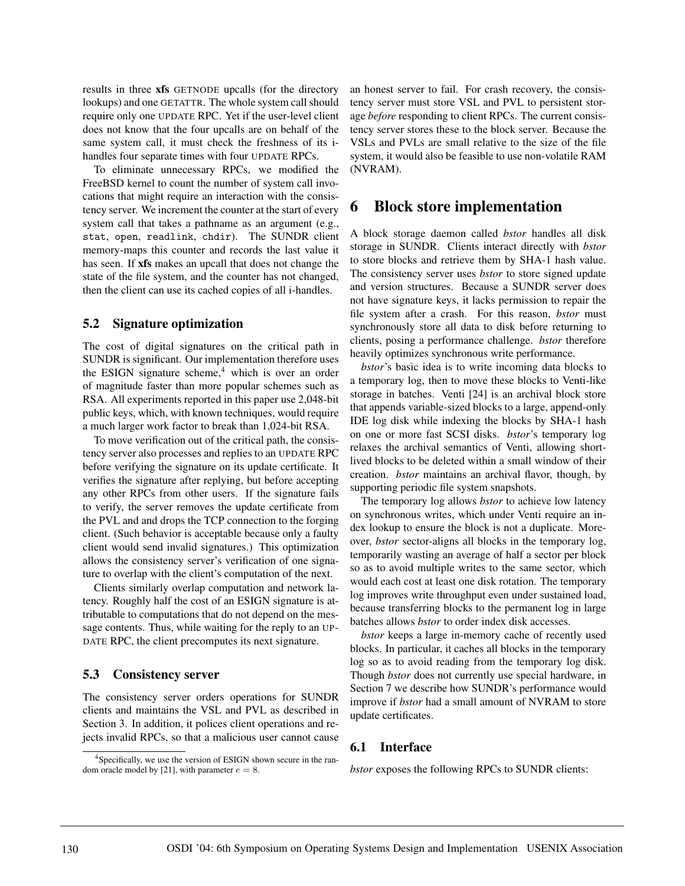results in three **xfs** GETNODE upcalls (for the directory lookups) and one GETATTR. The whole system call should require only one UPDATE RPC. Yet if the user-level client does not know that the four upcalls are on behalf of the same system call, it must check the freshness of its ihandles four separate times with four UPDATE RPCs.

To eliminate unnecessary RPCs, we modified the FreeBSD kernel to count the number of system call invocations that might require an interaction with the consistency server. We increment the counter at the start of every system call that takes a pathname as an argument (e.g., stat, open, readlink, chdir). The SUNDR client memory-maps this counter and records the last value it has seen. If **xfs** makes an upcall that does not change the state of the file system, and the counter has not changed, then the client can use its cached copies of all i-handles.

### **5.2 Signature optimization**

The cost of digital signatures on the critical path in SUNDR is significant. Our implementation therefore uses the ESIGN signature scheme, $4$  which is over an order of magnitude faster than more popular schemes such as RSA. All experiments reported in this paper use 2,048-bit public keys, which, with known techniques, would require a much larger work factor to break than 1,024-bit RSA.

To move verification out of the critical path, the consistency server also processes and replies to an UPDATE RPC before verifying the signature on its update certificate. It verifies the signature after replying, but before accepting any other RPCs from other users. If the signature fails to verify, the server removes the update certificate from the PVL and and drops the TCP connection to the forging client. (Such behavior is acceptable because only a faulty client would send invalid signatures.) This optimization allows the consistency server's verification of one signature to overlap with the client's computation of the next.

Clients similarly overlap computation and network latency. Roughly half the cost of an ESIGN signature is attributable to computations that do not depend on the message contents. Thus, while waiting for the reply to an UP-DATE RPC, the client precomputes its next signature.

### **5.3 Consistency server**

The consistency server orders operations for SUNDR clients and maintains the VSL and PVL as described in Section 3. In addition, it polices client operations and rejects invalid RPCs, so that a malicious user cannot cause an honest server to fail. For crash recovery, the consistency server must store VSL and PVL to persistent storage *before* responding to client RPCs. The current consistency server stores these to the block server. Because the VSLs and PVLs are small relative to the size of the file system, it would also be feasible to use non-volatile RAM (NVRAM).

## **6 Block store implementation**

A block storage daemon called *bstor* handles all disk storage in SUNDR. Clients interact directly with *bstor* to store blocks and retrieve them by SHA-1 hash value. The consistency server uses *bstor* to store signed update and version structures. Because a SUNDR server does not have signature keys, it lacks permission to repair the file system after a crash. For this reason, *bstor* must synchronously store all data to disk before returning to clients, posing a performance challenge. *bstor* therefore heavily optimizes synchronous write performance.

*bstor*'s basic idea is to write incoming data blocks to a temporary log, then to move these blocks to Venti-like storage in batches. Venti [24] is an archival block store that appends variable-sized blocks to a large, append-only IDE log disk while indexing the blocks by SHA-1 hash on one or more fast SCSI disks. *bstor*'s temporary log relaxes the archival semantics of Venti, allowing shortlived blocks to be deleted within a small window of their creation. *bstor* maintains an archival flavor, though, by supporting periodic file system snapshots.

The temporary log allows *bstor* to achieve low latency on synchronous writes, which under Venti require an index lookup to ensure the block is not a duplicate. Moreover, *bstor* sector-aligns all blocks in the temporary log, temporarily wasting an average of half a sector per block so as to avoid multiple writes to the same sector, which would each cost at least one disk rotation. The temporary log improves write throughput even under sustained load, because transferring blocks to the permanent log in large batches allows *bstor* to order index disk accesses.

*bstor* keeps a large in-memory cache of recently used blocks. In particular, it caches all blocks in the temporary log so as to avoid reading from the temporary log disk. Though *bstor* does not currently use special hardware, in Section 7 we describe how SUNDR's performance would improve if *bstor* had a small amount of NVRAM to store update certificates.

### **6.1 Interface**

*bstor* exposes the following RPCs to SUNDR clients:

<sup>&</sup>lt;sup>4</sup>Specifically, we use the version of ESIGN shown secure in the random oracle model by [21], with parameter  $e = 8$ .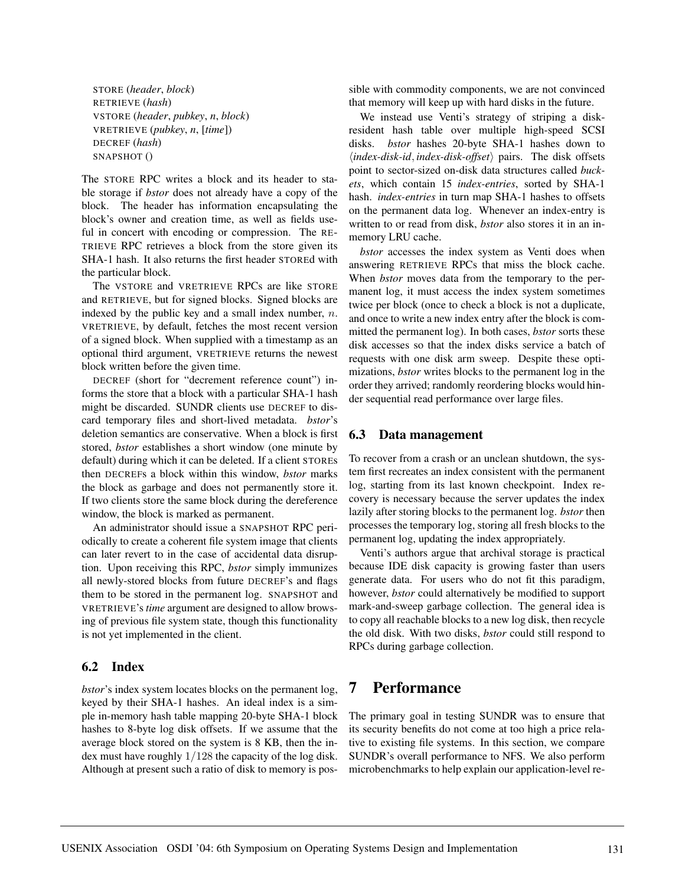STORE (*header*, *block*) RETRIEVE (*hash*) VSTORE (*header*, *pubkey*, *n*, *block*) VRETRIEVE (*pubkey*, *n*, [*time*]) DECREF (*hash*) SNAPSHOT ()

The STORE RPC writes a block and its header to stable storage if *bstor* does not already have a copy of the block. The header has information encapsulating the block's owner and creation time, as well as fields useful in concert with encoding or compression. The RE-TRIEVE RPC retrieves a block from the store given its SHA-1 hash. It also returns the first header STOREd with the particular block.

The VSTORE and VRETRIEVE RPCs are like STORE and RETRIEVE, but for signed blocks. Signed blocks are indexed by the public key and a small index number,  $n$ . VRETRIEVE, by default, fetches the most recent version of a signed block. When supplied with a timestamp as an optional third argument, VRETRIEVE returns the newest block written before the given time.

DECREF (short for "decrement reference count") informs the store that a block with a particular SHA-1 hash might be discarded. SUNDR clients use DECREF to discard temporary files and short-lived metadata. *bstor*'s deletion semantics are conservative. When a block is first stored, *bstor* establishes a short window (one minute by default) during which it can be deleted. If a client STOREs then DECREFs a block within this window, *bstor* marks the block as garbage and does not permanently store it. If two clients store the same block during the dereference window, the block is marked as permanent.

An administrator should issue a SNAPSHOT RPC periodically to create a coherent file system image that clients can later revert to in the case of accidental data disruption. Upon receiving this RPC, *bstor* simply immunizes all newly-stored blocks from future DECREF's and flags them to be stored in the permanent log. SNAPSHOT and VRETRIEVE's *time* argument are designed to allow browsing of previous file system state, though this functionality is not yet implemented in the client.

### **6.2 Index**

*bstor*'s index system locates blocks on the permanent log, keyed by their SHA-1 hashes. An ideal index is a simple in-memory hash table mapping 20-byte SHA-1 block hashes to 8-byte log disk offsets. If we assume that the average block stored on the system is 8 KB, then the index must have roughly 1/128 the capacity of the log disk. Although at present such a ratio of disk to memory is possible with commodity components, we are not convinced that memory will keep up with hard disks in the future.

We instead use Venti's strategy of striping a diskresident hash table over multiple high-speed SCSI disks. *bstor* hashes 20-byte SHA-1 hashes down to h*index-disk-id*, *index-disk-offset*i pairs. The disk offsets point to sector-sized on-disk data structures called *buckets*, which contain 15 *index-entries*, sorted by SHA-1 hash. *index-entries* in turn map SHA-1 hashes to offsets on the permanent data log. Whenever an index-entry is written to or read from disk, *bstor* also stores it in an inmemory LRU cache.

*bstor* accesses the index system as Venti does when answering RETRIEVE RPCs that miss the block cache. When *bstor* moves data from the temporary to the permanent log, it must access the index system sometimes twice per block (once to check a block is not a duplicate, and once to write a new index entry after the block is committed the permanent log). In both cases, *bstor* sorts these disk accesses so that the index disks service a batch of requests with one disk arm sweep. Despite these optimizations, *bstor* writes blocks to the permanent log in the order they arrived; randomly reordering blocks would hinder sequential read performance over large files.

### **6.3 Data management**

To recover from a crash or an unclean shutdown, the system first recreates an index consistent with the permanent log, starting from its last known checkpoint. Index recovery is necessary because the server updates the index lazily after storing blocks to the permanent log. *bstor* then processes the temporary log, storing all fresh blocks to the permanent log, updating the index appropriately.

Venti's authors argue that archival storage is practical because IDE disk capacity is growing faster than users generate data. For users who do not fit this paradigm, however, *bstor* could alternatively be modified to support mark-and-sweep garbage collection. The general idea is to copy all reachable blocks to a new log disk, then recycle the old disk. With two disks, *bstor* could still respond to RPCs during garbage collection.

# **7 Performance**

The primary goal in testing SUNDR was to ensure that its security benefits do not come at too high a price relative to existing file systems. In this section, we compare SUNDR's overall performance to NFS. We also perform microbenchmarks to help explain our application-level re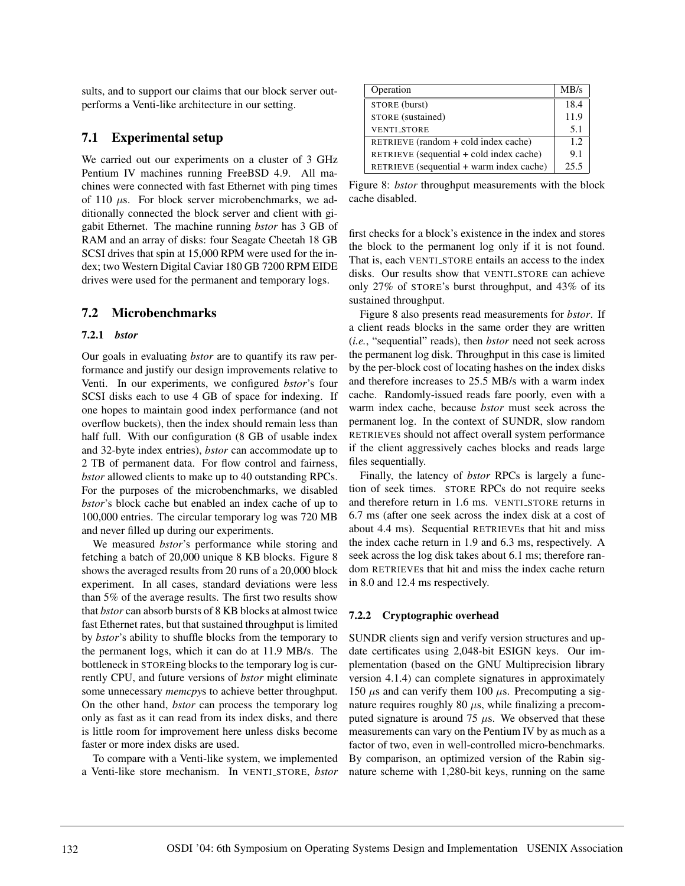sults, and to support our claims that our block server outperforms a Venti-like architecture in our setting.

### **7.1 Experimental setup**

We carried out our experiments on a cluster of 3 GHz Pentium IV machines running FreeBSD 4.9. All machines were connected with fast Ethernet with ping times of 110  $\mu$ s. For block server microbenchmarks, we additionally connected the block server and client with gigabit Ethernet. The machine running *bstor* has 3 GB of RAM and an array of disks: four Seagate Cheetah 18 GB SCSI drives that spin at 15,000 RPM were used for the index; two Western Digital Caviar 180 GB 7200 RPM EIDE drives were used for the permanent and temporary logs.

### **7.2 Microbenchmarks**

#### **7.2.1** *bstor*

Our goals in evaluating *bstor* are to quantify its raw performance and justify our design improvements relative to Venti. In our experiments, we configured *bstor*'s four SCSI disks each to use 4 GB of space for indexing. If one hopes to maintain good index performance (and not overflow buckets), then the index should remain less than half full. With our configuration (8 GB of usable index and 32-byte index entries), *bstor* can accommodate up to 2 TB of permanent data. For flow control and fairness, *bstor* allowed clients to make up to 40 outstanding RPCs. For the purposes of the microbenchmarks, we disabled *bstor*'s block cache but enabled an index cache of up to 100,000 entries. The circular temporary log was 720 MB and never filled up during our experiments.

We measured *bstor*'s performance while storing and fetching a batch of 20,000 unique 8 KB blocks. Figure 8 shows the averaged results from 20 runs of a 20,000 block experiment. In all cases, standard deviations were less than 5% of the average results. The first two results show that *bstor* can absorb bursts of 8 KB blocks at almost twice fast Ethernet rates, but that sustained throughput is limited by *bstor*'s ability to shuffle blocks from the temporary to the permanent logs, which it can do at 11.9 MB/s. The bottleneck in STOREing blocks to the temporary log is currently CPU, and future versions of *bstor* might eliminate some unnecessary *memcpy*s to achieve better throughput. On the other hand, *bstor* can process the temporary log only as fast as it can read from its index disks, and there is little room for improvement here unless disks become faster or more index disks are used.

To compare with a Venti-like system, we implemented a Venti-like store mechanism. In VENTI STORE, *bstor*

| Operation                                | MB/s |
|------------------------------------------|------|
| STORE (burst)                            | 18.4 |
| STORE (sustained)                        | 11.9 |
| <b>VENTL STORE</b>                       | 5.1  |
| RETRIEVE $(random + cold index cache)$   | 12   |
| RETRIEVE (sequential + cold index cache) | 9.1  |
| RETRIEVE (sequential + warm index cache) | 25.5 |

Figure 8: *bstor* throughput measurements with the block cache disabled.

first checks for a block's existence in the index and stores the block to the permanent log only if it is not found. That is, each VENTI STORE entails an access to the index disks. Our results show that VENTI STORE can achieve only 27% of STORE's burst throughput, and 43% of its sustained throughput.

Figure 8 also presents read measurements for *bstor*. If a client reads blocks in the same order they are written (*i.e.*, "sequential" reads), then *bstor* need not seek across the permanent log disk. Throughput in this case is limited by the per-block cost of locating hashes on the index disks and therefore increases to 25.5 MB/s with a warm index cache. Randomly-issued reads fare poorly, even with a warm index cache, because *bstor* must seek across the permanent log. In the context of SUNDR, slow random RETRIEVEs should not affect overall system performance if the client aggressively caches blocks and reads large files sequentially.

Finally, the latency of *bstor* RPCs is largely a function of seek times. STORE RPCs do not require seeks and therefore return in 1.6 ms. VENTI STORE returns in 6.7 ms (after one seek across the index disk at a cost of about 4.4 ms). Sequential RETRIEVEs that hit and miss the index cache return in 1.9 and 6.3 ms, respectively. A seek across the log disk takes about 6.1 ms; therefore random RETRIEVEs that hit and miss the index cache return in 8.0 and 12.4 ms respectively.

#### **7.2.2 Cryptographic overhead**

SUNDR clients sign and verify version structures and update certificates using 2,048-bit ESIGN keys. Our implementation (based on the GNU Multiprecision library version 4.1.4) can complete signatures in approximately 150  $\mu$ s and can verify them 100  $\mu$ s. Precomputing a signature requires roughly 80  $\mu$ s, while finalizing a precomputed signature is around 75  $\mu$ s. We observed that these measurements can vary on the Pentium IV by as much as a factor of two, even in well-controlled micro-benchmarks. By comparison, an optimized version of the Rabin signature scheme with 1,280-bit keys, running on the same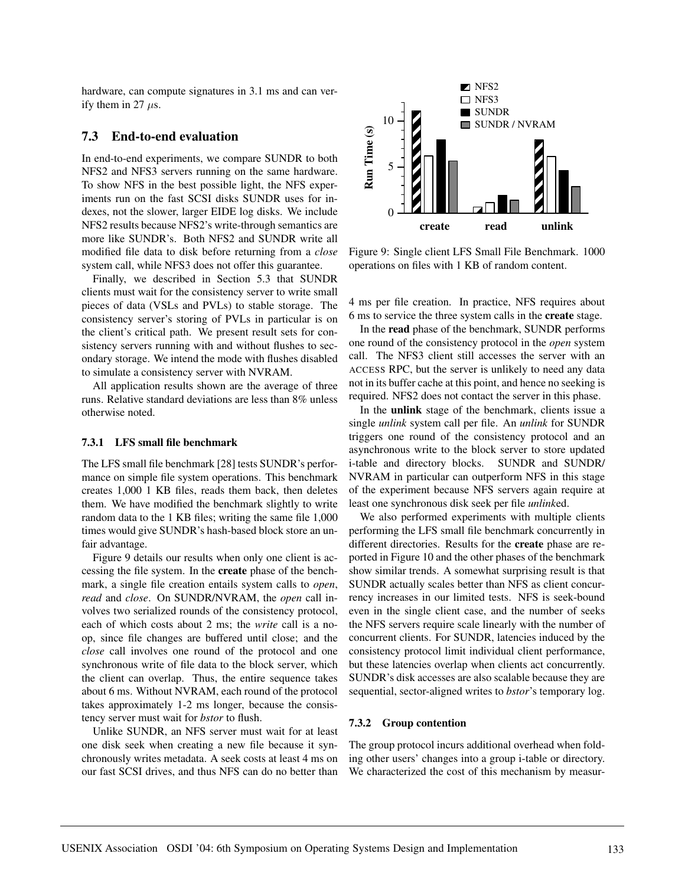hardware, can compute signatures in 3.1 ms and can verify them in 27  $\mu$ s.

#### **7.3 End-to-end evaluation**

In end-to-end experiments, we compare SUNDR to both NFS2 and NFS3 servers running on the same hardware. To show NFS in the best possible light, the NFS experiments run on the fast SCSI disks SUNDR uses for indexes, not the slower, larger EIDE log disks. We include NFS2 results because NFS2's write-through semantics are more like SUNDR's. Both NFS2 and SUNDR write all modified file data to disk before returning from a *close* system call, while NFS3 does not offer this guarantee.

Finally, we described in Section 5.3 that SUNDR clients must wait for the consistency server to write small pieces of data (VSLs and PVLs) to stable storage. The consistency server's storing of PVLs in particular is on the client's critical path. We present result sets for consistency servers running with and without flushes to secondary storage. We intend the mode with flushes disabled to simulate a consistency server with NVRAM.

All application results shown are the average of three runs. Relative standard deviations are less than 8% unless otherwise noted.

#### **7.3.1 LFS small file benchmark**

The LFS small file benchmark [28] tests SUNDR's performance on simple file system operations. This benchmark creates 1,000 1 KB files, reads them back, then deletes them. We have modified the benchmark slightly to write random data to the 1 KB files; writing the same file 1,000 times would give SUNDR's hash-based block store an unfair advantage.

Figure 9 details our results when only one client is accessing the file system. In the **create** phase of the benchmark, a single file creation entails system calls to *open*, *read* and *close*. On SUNDR/NVRAM, the *open* call involves two serialized rounds of the consistency protocol, each of which costs about 2 ms; the *write* call is a noop, since file changes are buffered until close; and the *close* call involves one round of the protocol and one synchronous write of file data to the block server, which the client can overlap. Thus, the entire sequence takes about 6 ms. Without NVRAM, each round of the protocol takes approximately 1-2 ms longer, because the consistency server must wait for *bstor* to flush.

Unlike SUNDR, an NFS server must wait for at least one disk seek when creating a new file because it synchronously writes metadata. A seek costs at least 4 ms on our fast SCSI drives, and thus NFS can do no better than



Figure 9: Single client LFS Small File Benchmark. 1000 operations on files with 1 KB of random content.

4 ms per file creation. In practice, NFS requires about 6 ms to service the three system calls in the **create** stage.

In the **read** phase of the benchmark, SUNDR performs one round of the consistency protocol in the *open* system call. The NFS3 client still accesses the server with an ACCESS RPC, but the server is unlikely to need any data not in its buffer cache at this point, and hence no seeking is required. NFS2 does not contact the server in this phase.

In the **unlink** stage of the benchmark, clients issue a single *unlink* system call per file. An *unlink* for SUNDR triggers one round of the consistency protocol and an asynchronous write to the block server to store updated i-table and directory blocks. SUNDR and SUNDR/ NVRAM in particular can outperform NFS in this stage of the experiment because NFS servers again require at least one synchronous disk seek per file *unlink*ed.

We also performed experiments with multiple clients performing the LFS small file benchmark concurrently in different directories. Results for the **create** phase are reported in Figure 10 and the other phases of the benchmark show similar trends. A somewhat surprising result is that SUNDR actually scales better than NFS as client concurrency increases in our limited tests. NFS is seek-bound even in the single client case, and the number of seeks the NFS servers require scale linearly with the number of concurrent clients. For SUNDR, latencies induced by the consistency protocol limit individual client performance, but these latencies overlap when clients act concurrently. SUNDR's disk accesses are also scalable because they are sequential, sector-aligned writes to *bstor*'s temporary log.

#### **7.3.2 Group contention**

The group protocol incurs additional overhead when folding other users' changes into a group i-table or directory. We characterized the cost of this mechanism by measur-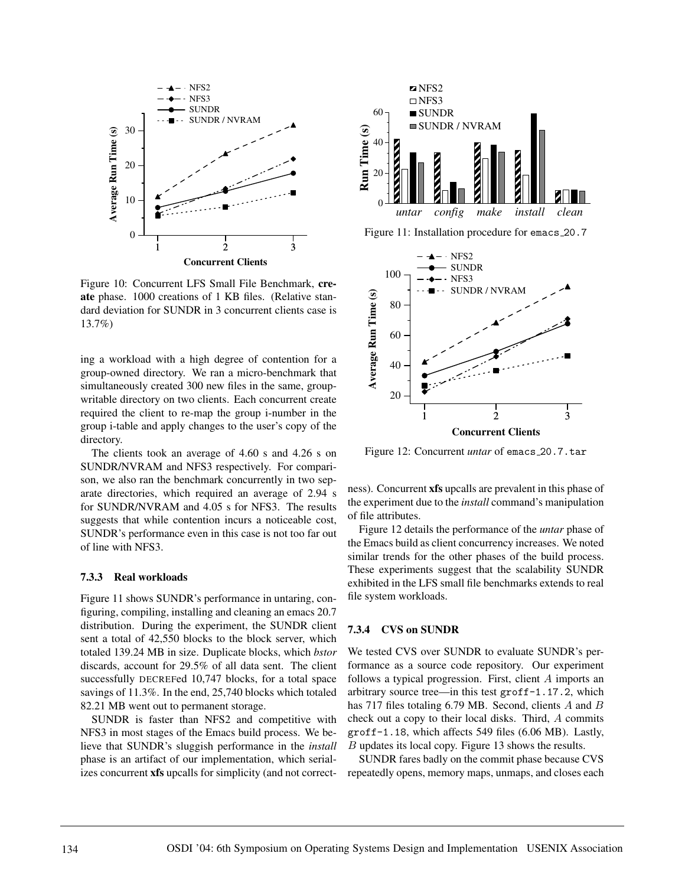

Figure 10: Concurrent LFS Small File Benchmark, **create** phase. 1000 creations of 1 KB files. (Relative standard deviation for SUNDR in 3 concurrent clients case is 13.7%)

ing a workload with a high degree of contention for a group-owned directory. We ran a micro-benchmark that simultaneously created 300 new files in the same, groupwritable directory on two clients. Each concurrent create required the client to re-map the group i-number in the group i-table and apply changes to the user's copy of the directory.

The clients took an average of 4.60 s and 4.26 s on SUNDR/NVRAM and NFS3 respectively. For comparison, we also ran the benchmark concurrently in two separate directories, which required an average of 2.94 s for SUNDR/NVRAM and 4.05 s for NFS3. The results suggests that while contention incurs a noticeable cost, SUNDR's performance even in this case is not too far out of line with NFS3.

#### **7.3.3 Real workloads**

Figure 11 shows SUNDR's performance in untaring, configuring, compiling, installing and cleaning an emacs 20.7 distribution. During the experiment, the SUNDR client sent a total of 42,550 blocks to the block server, which totaled 139.24 MB in size. Duplicate blocks, which *bstor* discards, account for 29.5% of all data sent. The client successfully DECREFed 10,747 blocks, for a total space savings of 11.3%. In the end, 25,740 blocks which totaled 82.21 MB went out to permanent storage.

SUNDR is faster than NFS2 and competitive with NFS3 in most stages of the Emacs build process. We believe that SUNDR's sluggish performance in the *install* phase is an artifact of our implementation, which serializes concurrent **xfs** upcalls for simplicity (and not correct-



Figure 11: Installation procedure for emacs 20.7



Figure 12: Concurrent *untar* of emacs 20.7.tar

ness). Concurrent **xfs** upcalls are prevalent in this phase of the experiment due to the *install* command's manipulation of file attributes.

Figure 12 details the performance of the *untar* phase of the Emacs build as client concurrency increases. We noted similar trends for the other phases of the build process. These experiments suggest that the scalability SUNDR exhibited in the LFS small file benchmarks extends to real file system workloads.

#### **7.3.4 CVS on SUNDR**

We tested CVS over SUNDR to evaluate SUNDR's performance as a source code repository. Our experiment follows a typical progression. First, client A imports an arbitrary source tree—in this test groff-1.17.2, which has 717 files totaling 6.79 MB. Second, clients A and B check out a copy to their local disks. Third, A commits groff-1.18, which affects 549 files (6.06 MB). Lastly, B updates its local copy. Figure 13 shows the results.

SUNDR fares badly on the commit phase because CVS repeatedly opens, memory maps, unmaps, and closes each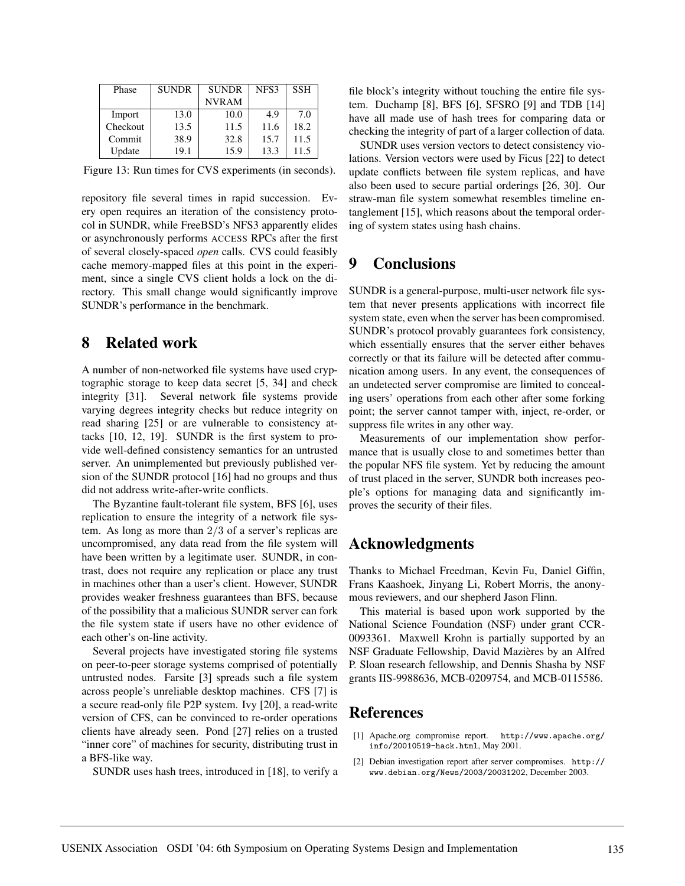| Phase    | <b>SUNDR</b> | <b>SUNDR</b> | NFS3 | <b>SSH</b> |
|----------|--------------|--------------|------|------------|
|          |              | <b>NVRAM</b> |      |            |
| Import   | 13.0         | 10.0         | 4.9  | 7.0        |
| Checkout | 13.5         | 11.5         | 11.6 | 18.2       |
| Commit   | 38.9         | 32.8         | 15.7 | 11.5       |
| Update   | 19.1         | 15.9         | 13.3 | 11.5       |

Figure 13: Run times for CVS experiments (in seconds).

repository file several times in rapid succession. Every open requires an iteration of the consistency protocol in SUNDR, while FreeBSD's NFS3 apparently elides or asynchronously performs ACCESS RPCs after the first of several closely-spaced *open* calls. CVS could feasibly cache memory-mapped files at this point in the experiment, since a single CVS client holds a lock on the directory. This small change would significantly improve SUNDR's performance in the benchmark.

## **8 Related work**

A number of non-networked file systems have used cryptographic storage to keep data secret [5, 34] and check integrity [31]. Several network file systems provide varying degrees integrity checks but reduce integrity on read sharing [25] or are vulnerable to consistency attacks [10, 12, 19]. SUNDR is the first system to provide well-defined consistency semantics for an untrusted server. An unimplemented but previously published version of the SUNDR protocol [16] had no groups and thus did not address write-after-write conflicts.

The Byzantine fault-tolerant file system, BFS [6], uses replication to ensure the integrity of a network file system. As long as more than 2/3 of a server's replicas are uncompromised, any data read from the file system will have been written by a legitimate user. SUNDR, in contrast, does not require any replication or place any trust in machines other than a user's client. However, SUNDR provides weaker freshness guarantees than BFS, because of the possibility that a malicious SUNDR server can fork the file system state if users have no other evidence of each other's on-line activity.

Several projects have investigated storing file systems on peer-to-peer storage systems comprised of potentially untrusted nodes. Farsite [3] spreads such a file system across people's unreliable desktop machines. CFS [7] is a secure read-only file P2P system. Ivy [20], a read-write version of CFS, can be convinced to re-order operations clients have already seen. Pond [27] relies on a trusted "inner core" of machines for security, distributing trust in a BFS-like way.

SUNDR uses hash trees, introduced in [18], to verify a

file block's integrity without touching the entire file system. Duchamp [8], BFS [6], SFSRO [9] and TDB [14] have all made use of hash trees for comparing data or checking the integrity of part of a larger collection of data.

SUNDR uses version vectors to detect consistency violations. Version vectors were used by Ficus [22] to detect update conflicts between file system replicas, and have also been used to secure partial orderings [26, 30]. Our straw-man file system somewhat resembles timeline entanglement [15], which reasons about the temporal ordering of system states using hash chains.

## **9 Conclusions**

SUNDR is a general-purpose, multi-user network file system that never presents applications with incorrect file system state, even when the server has been compromised. SUNDR's protocol provably guarantees fork consistency, which essentially ensures that the server either behaves correctly or that its failure will be detected after communication among users. In any event, the consequences of an undetected server compromise are limited to concealing users' operations from each other after some forking point; the server cannot tamper with, inject, re-order, or suppress file writes in any other way.

Measurements of our implementation show performance that is usually close to and sometimes better than the popular NFS file system. Yet by reducing the amount of trust placed in the server, SUNDR both increases people's options for managing data and significantly improves the security of their files.

# **Acknowledgments**

Thanks to Michael Freedman, Kevin Fu, Daniel Giffin, Frans Kaashoek, Jinyang Li, Robert Morris, the anonymous reviewers, and our shepherd Jason Flinn.

This material is based upon work supported by the National Science Foundation (NSF) under grant CCR-0093361. Maxwell Krohn is partially supported by an NSF Graduate Fellowship, David Mazieres by an Alfred ` P. Sloan research fellowship, and Dennis Shasha by NSF grants IIS-9988636, MCB-0209754, and MCB-0115586.

## **References**

- [1] Apache.org compromise report. http://www.apache.org/ info/20010519-hack.html, May 2001.
- [2] Debian investigation report after server compromises. http:// www.debian.org/News/2003/20031202, December 2003.